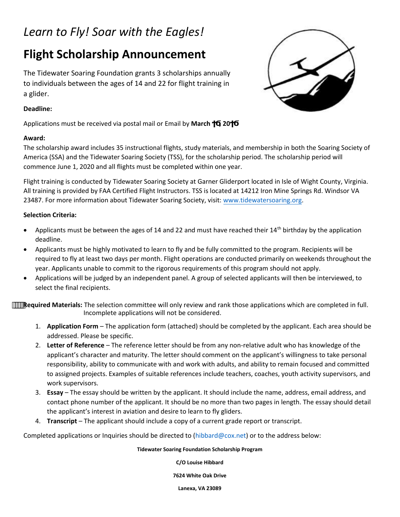# *Learn to Fly! Soar with the Eagles!*

# **Flight Scholarship Announcement**

The Tidewater Soaring Foundation grants 3 scholarships annually to individuals between the ages of 14 and 22 for flight training in a glider.

## **Deadline:**

**Applications must be received via postal mail or Email by March , 20** 

## **Award:**



The scholarship award includes 35 instructional flights, study materials, and membership in both the Soaring Society of America (SSA) and the Tidewater Soaring Society (TSS), for the scholarship period. The scholarship period will commence June 1, 2020 and all flights must be completed within one year.

Flight training is conducted by Tidewater Soaring Society at Garner Gliderport located in Isle of Wight County, Virginia. All training is provided by FAA Certified Flight Instructors. TSS is located at 14212 Iron Mine Springs Rd. Windsor VA 23487. For more information about Tidewater Soaring Society, visit[: www.tidewatersoaring.org.](http://www.tidewatersoaring.org/)

## **Selection Criteria:**

- Applicants must be between the ages of 14 and 22 and must have reached their 14<sup>th</sup> birthday by the application deadline.
- Applicants must be highly motivated to learn to fly and be fully committed to the program. Recipients will be required to fly at least two days per month. Flight operations are conducted primarily on weekends throughout the year. Applicants unable to commit to the rigorous requirements of this program should not apply.
- Applications will be judged by an independent panel. A group of selected applicants will then be interviewed, to select the final recipients.

**Required Materials:** The selection committee will only review and rank those applications which are completed in full. Incomplete applications will not be considered.

- 1. **Application Form** The application form (attached) should be completed by the applicant. Each area should be addressed. Please be specific.
- 2. **Letter of Reference** The reference letter should be from any non-relative adult who has knowledge of the applicant's character and maturity. The letter should comment on the applicant's willingness to take personal responsibility, ability to communicate with and work with adults, and ability to remain focused and committed to assigned projects. Examples of suitable references include teachers, coaches, youth activity supervisors, and work supervisors.
- 3. **Essay** The essay should be written by the applicant. It should include the name, address, email address, and contact phone number of the applicant. It should be no more than two pages in length. The essay should detail the applicant's interest in aviation and desire to learn to fly gliders.
- 4. **Transcript**  The applicant should include a copy of a current grade report or transcript.

Completed applications or Inq[uiries should be dire](mailto:hibbard@cox.net)cted to (hibbard@cox.net) or to the address below:

### **Tidewater Soaring Foundation Scholarship Program**

**C/O Louise Hibbard** 

**7624 White Oak Drive** 

**Lanexa, VA 23089**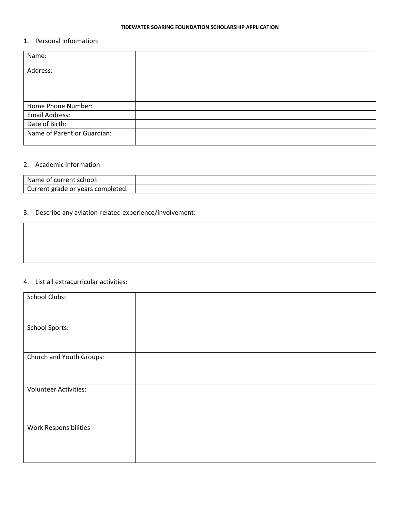#### **TIDEWATER SOARING FOUNDATION SCHOLARSHIP APPLICATION**

### 1. Personal information:

| Name:                       |  |
|-----------------------------|--|
| Address:                    |  |
|                             |  |
|                             |  |
| Home Phone Number:          |  |
| Email Address:              |  |
| Date of Birth:              |  |
| Name of Parent or Guardian: |  |

#### 2. Academic information:

| Name of current school:           |  |
|-----------------------------------|--|
| Current grade or years completed: |  |

## 3. Describe any aviation-related experience/involvement:

## 4. List all extracurricular activities:

| <b>School Clubs:</b>         |  |
|------------------------------|--|
| <b>School Sports:</b>        |  |
| Church and Youth Groups:     |  |
| <b>Volunteer Activities:</b> |  |
| Work Responsibilities:       |  |